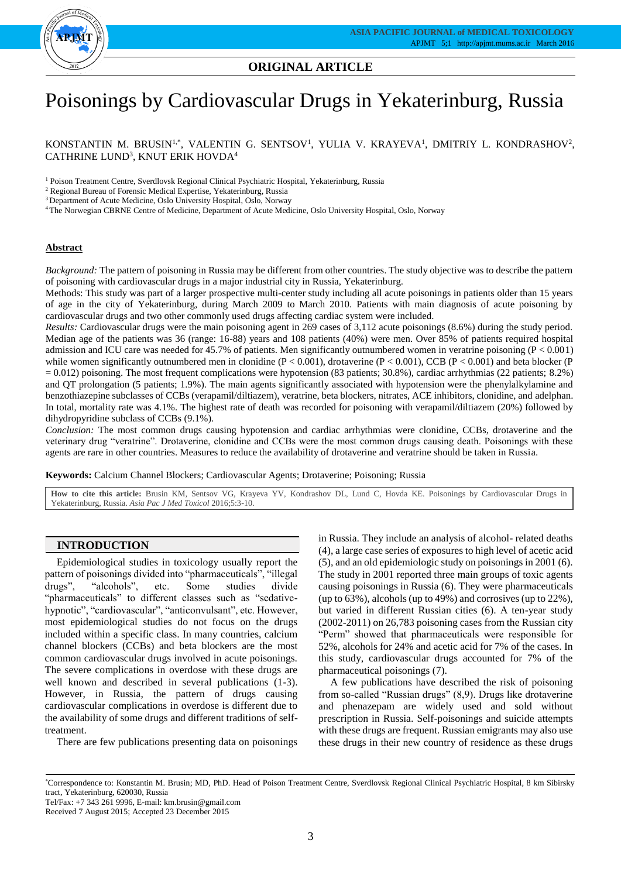

**ORIGINAL ARTICLE**

# Poisonings by Cardiovascular Drugs in Yekaterinburg, Russia

KONSTANTIN M. BRUSIN<sup>1,\*</sup>, VALENTIN G. SENTSOV<sup>1</sup>, YULIA V. KRAYEVA<sup>1</sup>, DMITRIY L. KONDRASHOV<sup>2</sup>, CATHRINE LUND<sup>3</sup>, KNUT ERIK HOVDA<sup>4</sup>

<sup>1</sup> Poison Treatment Centre, Sverdlovsk Regional Clinical Psychiatric Hospital, Yekaterinburg, Russia

<sup>2</sup> Regional Bureau of Forensic Medical Expertise, Yekaterinburg, Russia

<sup>3</sup> Department of Acute Medicine, Oslo University Hospital, Oslo, Norway

<sup>4</sup>The Norwegian CBRNE Centre of Medicine, Department of Acute Medicine, Oslo University Hospital, Oslo, Norway

# **Abstract**

*Background:* The pattern of poisoning in Russia may be different from other countries. The study objective was to describe the pattern of poisoning with cardiovascular drugs in a major industrial city in Russia, Yekaterinburg.

Methods: This study was part of a larger prospective multi-center study including all acute poisonings in patients older than 15 years of age in the city of Yekaterinburg, during March 2009 to March 2010. Patients with main diagnosis of acute poisoning by cardiovascular drugs and two other commonly used drugs affecting cardiac system were included.

*Results:* Cardiovascular drugs were the main poisoning agent in 269 cases of 3,112 acute poisonings (8.6%) during the study period. Median age of the patients was 36 (range: 16-88) years and 108 patients (40%) were men. Over 85% of patients required hospital admission and ICU care was needed for 45.7% of patients. Men significantly outnumbered women in veratrine poisoning  $(P < 0.001)$ while women significantly outnumbered men in clonidine  $(P < 0.001)$ , drotaverine  $(P < 0.001)$ , CCB  $(P < 0.001)$  and beta blocker (P  $= 0.012$ ) poisoning. The most frequent complications were hypotension (83 patients; 30.8%), cardiac arrhythmias (22 patients; 8.2%) and QT prolongation (5 patients; 1.9%). The main agents significantly associated with hypotension were the phenylalkylamine and benzothiazepine subclasses of CCBs (verapamil/diltiazem), veratrine, beta blockers, nitrates, ACE inhibitors, clonidine, and adelphan. In total, mortality rate was 4.1%. The highest rate of death was recorded for poisoning with verapamil/diltiazem (20%) followed by dihydropyridine subclass of CCBs (9.1%).

*Conclusion:* The most common drugs causing hypotension and cardiac arrhythmias were clonidine, CCBs, drotaverine and the veterinary drug "veratrine". Drotaverine, clonidine and CCBs were the most common drugs causing death. Poisonings with these agents are rare in other countries. Measures to reduce the availability of drotaverine and veratrine should be taken in Russia.

**Keywords:** Calcium Channel Blockers; Cardiovascular Agents; Drotaverine; Poisoning; Russia

**How to cite this article:** Brusin KM, Sentsov VG, Krayeva YV, Kondrashov DL, Lund C, Hovda KE. Poisonings by Cardiovascular Drugs in Yekaterinburg, Russia. *Asia Pac J Med Toxicol* 2016;5:3-10.

# **INTRODUCTION**

Epidemiological studies in toxicology usually report the pattern of poisonings divided into "pharmaceuticals", "illegal drugs", "alcohols", etc. Some studies divide "pharmaceuticals" to different classes such as "sedativehypnotic", "cardiovascular", "anticonvulsant", etc. However, most epidemiological studies do not focus on the drugs included within a specific class. In many countries, calcium channel blockers (CCBs) and beta blockers are the most common cardiovascular drugs involved in acute poisonings. The severe complications in overdose with these drugs are well known and described in several publications (1-3). However, in Russia, the pattern of drugs causing cardiovascular complications in overdose is different due to the availability of some drugs and different traditions of selftreatment.

There are few publications presenting data on poisonings

in Russia. They include an analysis of alcohol- related deaths (4), a large case series of exposures to high level of acetic acid (5), and an old epidemiologic study on poisonings in 2001 (6). The study in 2001 reported three main groups of toxic agents causing poisonings in Russia (6). They were pharmaceuticals (up to 63%), alcohols (up to 49%) and corrosives (up to 22%), but varied in different Russian cities (6). A ten-year study (2002-2011) on 26,783 poisoning cases from the Russian city "Perm" showed that pharmaceuticals were responsible for 52%, alcohols for 24% and acetic acid for 7% of the cases. In this study, cardiovascular drugs accounted for 7% of the pharmaceutical poisonings (7).

A few publications have described the risk of poisoning from so-called "Russian drugs" (8,9). Drugs like drotaverine and phenazepam are widely used and sold without prescription in Russia. Self-poisonings and suicide attempts with these drugs are frequent. Russian emigrants may also use these drugs in their new country of residence as these drugs

Tel/Fax: +7 343 261 9996, E-mail: km.brusin@gmail.com

Received 7 August 2015; Accepted 23 December 2015

<sup>\*</sup>Correspondence to: Konstantin M. Brusin; MD, PhD. Head of Poison Treatment Centre, Sverdlovsk Regional Clinical Psychiatric Hospital, 8 km Sibirsky tract, Yekaterinburg, 620030, Russia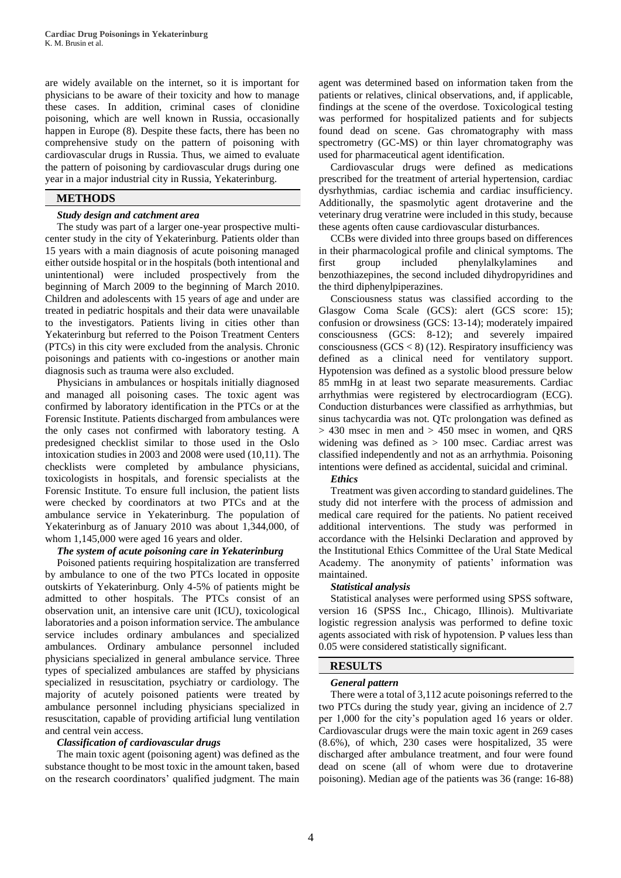are widely available on the internet, so it is important for physicians to be aware of their toxicity and how to manage these cases. In addition, criminal cases of clonidine poisoning, which are well known in Russia, occasionally happen in Europe (8). Despite these facts, there has been no comprehensive study on the pattern of poisoning with cardiovascular drugs in Russia. Thus, we aimed to evaluate the pattern of poisoning by cardiovascular drugs during one year in a major industrial city in Russia, Yekaterinburg.

# **METHODS**

## *Study design and catchment area*

The study was part of a larger one-year prospective multicenter study in the city of Yekaterinburg. Patients older than 15 years with a main diagnosis of acute poisoning managed either outside hospital or in the hospitals (both intentional and unintentional) were included prospectively from the beginning of March 2009 to the beginning of March 2010. Children and adolescents with 15 years of age and under are treated in pediatric hospitals and their data were unavailable to the investigators. Patients living in cities other than Yekaterinburg but referred to the Poison Treatment Centers (PTCs) in this city were excluded from the analysis. Chronic poisonings and patients with co-ingestions or another main diagnosis such as trauma were also excluded.

Physicians in ambulances or hospitals initially diagnosed and managed all poisoning cases. The toxic agent was confirmed by laboratory identification in the PTCs or at the Forensic Institute. Patients discharged from ambulances were the only cases not confirmed with laboratory testing. A predesigned checklist similar to those used in the Oslo intoxication studies in 2003 and 2008 were used (10,11). The checklists were completed by ambulance physicians, toxicologists in hospitals, and forensic specialists at the Forensic Institute. To ensure full inclusion, the patient lists were checked by coordinators at two PTCs and at the ambulance service in Yekaterinburg. The population of Yekaterinburg as of January 2010 was about 1,344,000, of whom  $1,145,000$  were aged 16 years and older.

# *The system of acute poisoning care in Yekaterinburg*

Poisoned patients requiring hospitalization are transferred by ambulance to one of the two PTCs located in opposite outskirts of Yekaterinburg. Only 4-5% of patients might be admitted to other hospitals. The PTCs consist of an observation unit, an intensive care unit (ICU), toxicological laboratories and a poison information service. The ambulance service includes ordinary ambulances and specialized ambulances. Ordinary ambulance personnel included physicians specialized in general ambulance service. Three types of specialized ambulances are staffed by physicians specialized in resuscitation, psychiatry or cardiology. The majority of acutely poisoned patients were treated by ambulance personnel including physicians specialized in resuscitation, capable of providing artificial lung ventilation and central vein access.

## *Classification of cardiovascular drugs*

The main toxic agent (poisoning agent) was defined as the substance thought to be most toxic in the amount taken, based on the research coordinators' qualified judgment. The main agent was determined based on information taken from the patients or relatives, clinical observations, and, if applicable, findings at the scene of the overdose. Toxicological testing was performed for hospitalized patients and for subjects found dead on scene. Gas chromatography with mass spectrometry (GC-MS) or thin layer chromatography was used for pharmaceutical agent identification.

Cardiovascular drugs were defined as medications prescribed for the treatment of arterial hypertension, cardiac dysrhythmias, cardiac ischemia and cardiac insufficiency. Additionally, the spasmolytic agent drotaverine and the veterinary drug veratrine were included in this study, because these agents often cause cardiovascular disturbances.

CCBs were divided into three groups based on differences in their pharmacological profile and clinical symptoms. The first group included phenylalkylamines and benzothiazepines, the second included dihydropyridines and the third diphenylpiperazines.

Consciousness status was classified according to the Glasgow Coma Scale (GCS): alert (GCS score: 15); confusion or drowsiness (GCS: 13-14); moderately impaired consciousness (GCS: 8-12); and severely impaired consciousness  $(GCS < 8)$  (12). Respiratory insufficiency was defined as a clinical need for ventilatory support. Hypotension was defined as a systolic blood pressure below 85 mmHg in at least two separate measurements. Cardiac arrhythmias were registered by electrocardiogram (ECG). Conduction disturbances were classified as arrhythmias, but sinus tachycardia was not. QTc prolongation was defined as  $>$  430 msec in men and  $>$  450 msec in women, and ORS widening was defined as > 100 msec. Cardiac arrest was classified independently and not as an arrhythmia. Poisoning intentions were defined as accidental, suicidal and criminal.

# *Ethics*

Treatment was given according to standard guidelines. The study did not interfere with the process of admission and medical care required for the patients. No patient received additional interventions. The study was performed in accordance with the Helsinki Declaration and approved by the Institutional Ethics Committee of the Ural State Medical Academy. The anonymity of patients' information was maintained.

## *Statistical analysis*

Statistical analyses were performed using SPSS software, version 16 (SPSS Inc., Chicago, Illinois). Multivariate logistic regression analysis was performed to define toxic agents associated with risk of hypotension. P values less than 0.05 were considered statistically significant.

## **RESULTS**

# *General pattern*

There were a total of 3,112 acute poisonings referred to the two PTCs during the study year, giving an incidence of 2.7 per 1,000 for the city's population aged 16 years or older. Cardiovascular drugs were the main toxic agent in 269 cases (8.6%), of which, 230 cases were hospitalized, 35 were discharged after ambulance treatment, and four were found dead on scene (all of whom were due to drotaverine poisoning). Median age of the patients was 36 (range: 16-88)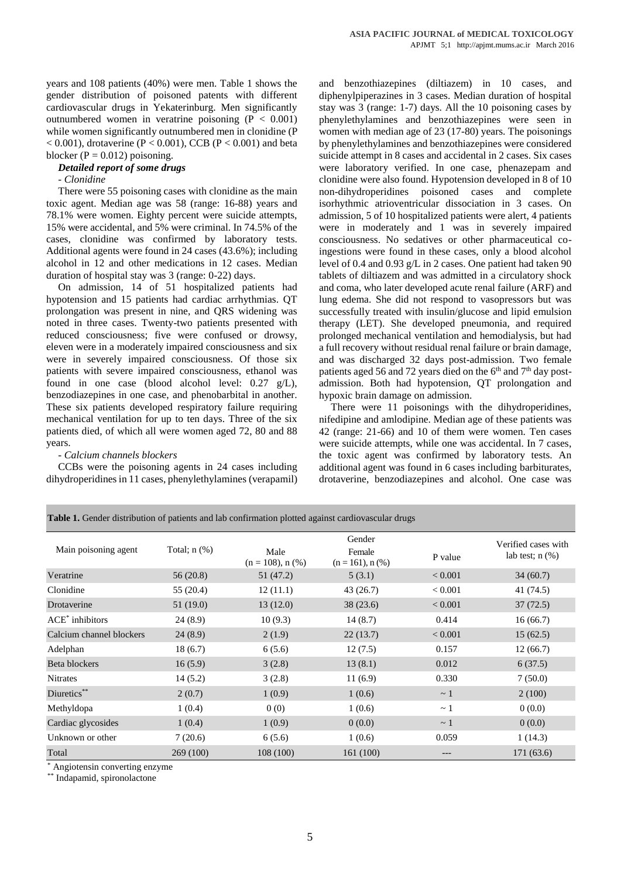years and 108 patients (40%) were men. Table 1 shows the gender distribution of poisoned patents with different cardiovascular drugs in Yekaterinburg. Men significantly outnumbered women in veratrine poisoning  $(P < 0.001)$ while women significantly outnumbered men in clonidine (P  $< 0.001$ ), drotaverine (P  $< 0.001$ ), CCB (P  $< 0.001$ ) and beta blocker ( $P = 0.012$ ) poisoning.

# *Detailed report of some drugs*

#### *- Clonidine*

There were 55 poisoning cases with clonidine as the main toxic agent. Median age was 58 (range: 16-88) years and 78.1% were women. Eighty percent were suicide attempts, 15% were accidental, and 5% were criminal. In 74.5% of the cases, clonidine was confirmed by laboratory tests. Additional agents were found in 24 cases (43.6%); including alcohol in 12 and other medications in 12 cases. Median duration of hospital stay was 3 (range: 0-22) days.

On admission, 14 of 51 hospitalized patients had hypotension and 15 patients had cardiac arrhythmias. QT prolongation was present in nine, and QRS widening was noted in three cases. Twenty-two patients presented with reduced consciousness; five were confused or drowsy, eleven were in a moderately impaired consciousness and six were in severely impaired consciousness. Of those six patients with severe impaired consciousness, ethanol was found in one case (blood alcohol level: 0.27 g/L), benzodiazepines in one case, and phenobarbital in another. These six patients developed respiratory failure requiring mechanical ventilation for up to ten days. Three of the six patients died, of which all were women aged 72, 80 and 88 years.

### *- Calcium channels blockers*

CCBs were the poisoning agents in 24 cases including dihydroperidines in 11 cases, phenylethylamines (verapamil) and benzothiazepines (diltiazem) in 10 cases, and diphenylpiperazines in 3 cases. Median duration of hospital stay was 3 (range: 1-7) days. All the 10 poisoning cases by phenylethylamines and benzothiazepines were seen in women with median age of 23 (17-80) years. The poisonings by phenylethylamines and benzothiazepines were considered suicide attempt in 8 cases and accidental in 2 cases. Six cases were laboratory verified. In one case, phenazepam and clonidine were also found. Hypotension developed in 8 of 10 non-dihydroperidines poisoned cases and complete isorhythmic atrioventricular dissociation in 3 cases. On admission, 5 of 10 hospitalized patients were alert, 4 patients were in moderately and 1 was in severely impaired consciousness. No sedatives or other pharmaceutical coingestions were found in these cases, only a blood alcohol level of 0.4 and 0.93 g/L in 2 cases. One patient had taken 90 tablets of diltiazem and was admitted in a circulatory shock and coma, who later developed acute renal failure (ARF) and lung edema. She did not respond to vasopressors but was successfully treated with insulin/glucose and lipid emulsion therapy (LET). She developed pneumonia, and required prolonged mechanical ventilation and hemodialysis, but had a full recovery without residual renal failure or brain damage, and was discharged 32 days post-admission. Two female patients aged 56 and 72 years died on the  $6<sup>th</sup>$  and  $7<sup>th</sup>$  day postadmission. Both had hypotension, QT prolongation and hypoxic brain damage on admission.

There were 11 poisonings with the dihydroperidines, nifedipine and amlodipine. Median age of these patients was 42 (range: 21-66) and 10 of them were women. Ten cases were suicide attempts, while one was accidental. In 7 cases, the toxic agent was confirmed by laboratory tests. An additional agent was found in 6 cases including barbiturates, drotaverine, benzodiazepines and alcohol. One case was

**Table 1.** Gender distribution of patients and lab confirmation plotted against cardiovascular drugs

| Gender<br>Verified cases with<br>Total; $n$ $(\%)$<br>Main poisoning agent<br>Male<br>Female<br>lab test; $n$ $(\%)$<br>P value<br>$(n = 108)$ , n $(\%)$<br>$(n = 161)$ , n $(\%)$<br>56(20.8)<br>51 (47.2)<br>< 0.001<br>5(3.1)<br>34 (60.7)<br>55 (20.4)<br>12(11.1)<br>43 (26.7)<br>< 0.001<br>41 (74.5)<br>51 (19.0)<br>13(12.0)<br>38 (23.6)<br>< 0.001<br>37(72.5)<br>24(8.9)<br>10(9.3)<br>14(8.7)<br>0.414<br>16(66.7)<br>24(8.9)<br>2(1.9)<br>22(13.7)<br>< 0.001<br>15(62.5)<br>0.157<br>18(6.7)<br>6(5.6)<br>12(7.5)<br>12(66.7)<br>16(5.9)<br>13(8.1)<br>0.012<br>6(37.5)<br>3(2.8)<br>0.330<br>7(50.0)<br>14(5.2)<br>3(2.8)<br>11(6.9)<br>2(0.7)<br>1(0.9)<br>1(0.6)<br>2(100)<br>$\sim$ 1<br>1(0.4)<br>0(0)<br>1(0.6)<br>0(0.0)<br>$\sim$ 1<br>1(0.4)<br>1(0.9)<br>0(0.0)<br>0(0.0)<br>$\sim$ 1<br>7(20.6)<br>1(0.6)<br>0.059<br>1(14.3)<br>6(5.6)<br>269 (100)<br>108 (100)<br>161 (100)<br>171(63.6)<br>--- |                          |  |  |  |
|------------------------------------------------------------------------------------------------------------------------------------------------------------------------------------------------------------------------------------------------------------------------------------------------------------------------------------------------------------------------------------------------------------------------------------------------------------------------------------------------------------------------------------------------------------------------------------------------------------------------------------------------------------------------------------------------------------------------------------------------------------------------------------------------------------------------------------------------------------------------------------------------------------------------------|--------------------------|--|--|--|
|                                                                                                                                                                                                                                                                                                                                                                                                                                                                                                                                                                                                                                                                                                                                                                                                                                                                                                                              |                          |  |  |  |
|                                                                                                                                                                                                                                                                                                                                                                                                                                                                                                                                                                                                                                                                                                                                                                                                                                                                                                                              | Veratrine                |  |  |  |
|                                                                                                                                                                                                                                                                                                                                                                                                                                                                                                                                                                                                                                                                                                                                                                                                                                                                                                                              | Clonidine                |  |  |  |
|                                                                                                                                                                                                                                                                                                                                                                                                                                                                                                                                                                                                                                                                                                                                                                                                                                                                                                                              | Drotaverine              |  |  |  |
|                                                                                                                                                                                                                                                                                                                                                                                                                                                                                                                                                                                                                                                                                                                                                                                                                                                                                                                              | $ACE*$ inhibitors        |  |  |  |
|                                                                                                                                                                                                                                                                                                                                                                                                                                                                                                                                                                                                                                                                                                                                                                                                                                                                                                                              | Calcium channel blockers |  |  |  |
|                                                                                                                                                                                                                                                                                                                                                                                                                                                                                                                                                                                                                                                                                                                                                                                                                                                                                                                              | Adelphan                 |  |  |  |
|                                                                                                                                                                                                                                                                                                                                                                                                                                                                                                                                                                                                                                                                                                                                                                                                                                                                                                                              | Beta blockers            |  |  |  |
|                                                                                                                                                                                                                                                                                                                                                                                                                                                                                                                                                                                                                                                                                                                                                                                                                                                                                                                              | <b>Nitrates</b>          |  |  |  |
|                                                                                                                                                                                                                                                                                                                                                                                                                                                                                                                                                                                                                                                                                                                                                                                                                                                                                                                              | Diuretics**              |  |  |  |
|                                                                                                                                                                                                                                                                                                                                                                                                                                                                                                                                                                                                                                                                                                                                                                                                                                                                                                                              | Methyldopa               |  |  |  |
|                                                                                                                                                                                                                                                                                                                                                                                                                                                                                                                                                                                                                                                                                                                                                                                                                                                                                                                              | Cardiac glycosides       |  |  |  |
|                                                                                                                                                                                                                                                                                                                                                                                                                                                                                                                                                                                                                                                                                                                                                                                                                                                                                                                              | Unknown or other         |  |  |  |
|                                                                                                                                                                                                                                                                                                                                                                                                                                                                                                                                                                                                                                                                                                                                                                                                                                                                                                                              | Total                    |  |  |  |

Angiotensin converting enzyme

Indapamid, spironolactone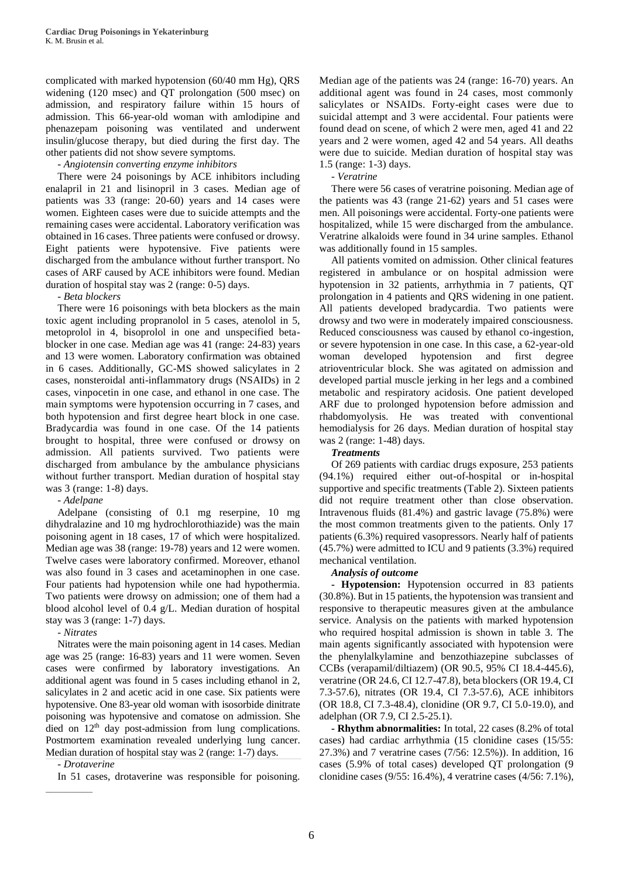complicated with marked hypotension (60/40 mm Hg), QRS widening (120 msec) and QT prolongation (500 msec) on admission, and respiratory failure within 15 hours of admission. This 66-year-old woman with amlodipine and phenazepam poisoning was ventilated and underwent insulin/glucose therapy, but died during the first day. The other patients did not show severe symptoms.

# *- Angiotensin converting enzyme inhibitors*

There were 24 poisonings by ACE inhibitors including enalapril in 21 and lisinopril in 3 cases. Median age of patients was 33 (range: 20-60) years and 14 cases were women. Eighteen cases were due to suicide attempts and the remaining cases were accidental. Laboratory verification was obtained in 16 cases. Three patients were confused or drowsy. Eight patients were hypotensive. Five patients were discharged from the ambulance without further transport. No cases of ARF caused by ACE inhibitors were found. Median duration of hospital stay was 2 (range: 0-5) days.

*- Beta blockers*

There were 16 poisonings with beta blockers as the main toxic agent including propranolol in 5 cases, atenolol in 5, metoprolol in 4, bisoprolol in one and unspecified betablocker in one case. Median age was 41 (range: 24-83) years and 13 were women. Laboratory confirmation was obtained in 6 cases. Additionally, GC-MS showed salicylates in 2 cases, nonsteroidal anti-inflammatory drugs (NSAIDs) in 2 cases, vinpocetin in one case, and ethanol in one case. The main symptoms were hypotension occurring in 7 cases, and both hypotension and first degree heart block in one case. Bradycardia was found in one case. Of the 14 patients brought to hospital, three were confused or drowsy on admission. All patients survived. Two patients were discharged from ambulance by the ambulance physicians without further transport. Median duration of hospital stay was 3 (range: 1-8) days.

*- Adelpane*

Adelpane (consisting of 0.1 mg reserpine, 10 mg dihydralazine and 10 mg hydrochlorothiazide) was the main poisoning agent in 18 cases, 17 of which were hospitalized. Median age was 38 (range: 19-78) years and 12 were women. Twelve cases were laboratory confirmed. Moreover, ethanol was also found in 3 cases and acetaminophen in one case. Four patients had hypotension while one had hypothermia. Two patients were drowsy on admission; one of them had a blood alcohol level of 0.4 g/L. Median duration of hospital stay was 3 (range: 1-7) days.

*- Nitrates*

Nitrates were the main poisoning agent in 14 cases. Median age was 25 (range: 16-83) years and 11 were women. Seven cases were confirmed by laboratory investigations. An additional agent was found in 5 cases including ethanol in 2, salicylates in 2 and acetic acid in one case. Six patients were hypotensive. One 83-year old woman with isosorbide dinitrate poisoning was hypotensive and comatose on admission. She died on  $12<sup>th</sup>$  day post-admission from lung complications. Postmortem examination revealed underlying lung cancer. Median duration of hospital stay was 2 (range: 1-7) days.

*- Drotaverine*

In 51 cases, drotaverine was responsible for poisoning.

Median age of the patients was 24 (range: 16-70) years. An additional agent was found in 24 cases, most commonly salicylates or NSAIDs. Forty-eight cases were due to suicidal attempt and 3 were accidental. Four patients were found dead on scene, of which 2 were men, aged 41 and 22 years and 2 were women, aged 42 and 54 years. All deaths were due to suicide. Median duration of hospital stay was 1.5 (range: 1-3) days.

*- Veratrine*

There were 56 cases of veratrine poisoning. Median age of the patients was 43 (range 21-62) years and 51 cases were men. All poisonings were accidental. Forty-one patients were hospitalized, while 15 were discharged from the ambulance. Veratrine alkaloids were found in 34 urine samples. Ethanol was additionally found in 15 samples.

All patients vomited on admission. Other clinical features registered in ambulance or on hospital admission were hypotension in 32 patients, arrhythmia in 7 patients, QT prolongation in 4 patients and QRS widening in one patient. All patients developed bradycardia. Two patients were drowsy and two were in moderately impaired consciousness. Reduced consciousness was caused by ethanol co-ingestion, or severe hypotension in one case. In this case, a 62-year-old woman developed hypotension and first degree atrioventricular block. She was agitated on admission and developed partial muscle jerking in her legs and a combined metabolic and respiratory acidosis. One patient developed ARF due to prolonged hypotension before admission and rhabdomyolysis. He was treated with conventional hemodialysis for 26 days. Median duration of hospital stay was 2 (range: 1-48) days.

## *Treatments*

Of 269 patients with cardiac drugs exposure, 253 patients (94.1%) required either out-of-hospital or in-hospital supportive and specific treatments (Table 2). Sixteen patients did not require treatment other than close observation. Intravenous fluids (81.4%) and gastric lavage (75.8%) were the most common treatments given to the patients. Only 17 patients (6.3%) required vasopressors. Nearly half of patients (45.7%) were admitted to ICU and 9 patients (3.3%) required mechanical ventilation.

## *Analysis of outcome*

**- Hypotension:** Hypotension occurred in 83 patients (30.8%). But in 15 patients, the hypotension was transient and responsive to therapeutic measures given at the ambulance service. Analysis on the patients with marked hypotension who required hospital admission is shown in table 3. The main agents significantly associated with hypotension were the phenylalkylamine and benzothiazepine subclasses of CCBs (verapamil/diltiazem) (OR 90.5, 95% CI 18.4-445.6), veratrine (OR 24.6, CI 12.7-47.8), beta blockers (OR 19.4, CI 7.3-57.6), nitrates (OR 19.4, CI 7.3-57.6), ACE inhibitors (OR 18.8, CI 7.3-48.4), clonidine (OR 9.7, CI 5.0-19.0), and adelphan (OR 7.9, CI 2.5-25.1).

**- Rhythm abnormalities:** In total, 22 cases (8.2% of total cases) had cardiac arrhythmia (15 clonidine cases (15/55: 27.3%) and 7 veratrine cases (7/56: 12.5%)). In addition, 16 cases (5.9% of total cases) developed QT prolongation (9 clonidine cases (9/55: 16.4%), 4 veratrine cases (4/56: 7.1%),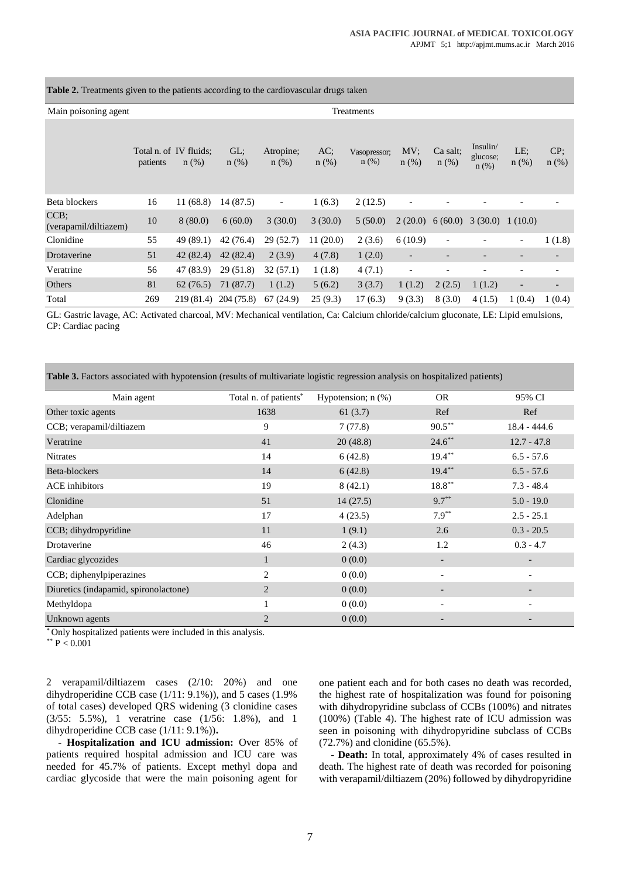**Table 2.** Treatments given to the patients according to the cardiovascular drugs taken

| Main poisoning agent          | Treatments |                                   |                |                          |                |                         |                          |                     |                              |                          |                          |
|-------------------------------|------------|-----------------------------------|----------------|--------------------------|----------------|-------------------------|--------------------------|---------------------|------------------------------|--------------------------|--------------------------|
|                               | patients   | Total n. of IV fluids;<br>$n$ (%) | GL;<br>$n(\%)$ | Atropine;<br>$n$ (%)     | AC;<br>$n$ (%) | Vasopressor;<br>$n$ (%) | MV:<br>$n$ (%)           | Ca salt;<br>$n$ (%) | Insulin/<br>glucose;<br>n(%) | LE;<br>$n$ (%)           | CP<br>$n$ (%)            |
| Beta blockers                 | 16         | 11(68.8)                          | 14 (87.5)      | $\overline{\phantom{a}}$ | 1(6.3)         | 2(12.5)                 | $\overline{\phantom{a}}$ |                     |                              |                          |                          |
| CCB:<br>(verapamil/diltiazem) | 10         | 8(80.0)                           | 6(60.0)        | 3(30.0)                  | 3(30.0)        | 5(50.0)                 | 2(20.0)                  | 6(60.0)             | 3(30.0) 1(10.0)              |                          |                          |
| Clonidine                     | 55         | 49(89.1)                          | 42(76.4)       | 29(52.7)                 | 11(20.0)       | 2(3.6)                  | 6(10.9)                  |                     |                              | $\overline{\phantom{a}}$ | 1(1.8)                   |
| Drotaverine                   | 51         | 42(82.4)                          | 42(82.4)       | 2(3.9)                   | 4(7.8)         | 1(2.0)                  | $\overline{\phantom{a}}$ |                     |                              | $\overline{\phantom{a}}$ | $\overline{\phantom{a}}$ |
| Veratrine                     | 56         | 47 (83.9)                         | 29(51.8)       | 32(57.1)                 | 1(1.8)         | 4(7.1)                  | $\overline{\phantom{a}}$ |                     |                              |                          |                          |
| Others                        | 81         | 62(76.5)                          | 71 (87.7)      | 1(1.2)                   | 5(6.2)         | 3(3.7)                  | 1(1.2)                   | 2(2.5)              | 1(1.2)                       | $\overline{\phantom{a}}$ |                          |
| Total                         | 269        | 219 (81.4)                        | 204 (75.8)     | 67(24.9)                 | 25(9.3)        | 17(6.3)                 | 9(3.3)                   | 8(3.0)              | 4(1.5)                       | 1(0.4)                   | 1(0.4)                   |

GL: Gastric lavage, AC: Activated charcoal, MV: Mechanical ventilation, Ca: Calcium chloride/calcium gluconate, LE: Lipid emulsions, CP: Cardiac pacing

| Table 3. Factors associated with hypotension (results of multivariate logistic regression analysis on hospitalized patients) |  |  |  |  |  |
|------------------------------------------------------------------------------------------------------------------------------|--|--|--|--|--|
|                                                                                                                              |  |  |  |  |  |

| Main agent                            | Total n. of patients* | Hypotension; $n$ $%$ ) | <b>OR</b>                | 95% CI                   |
|---------------------------------------|-----------------------|------------------------|--------------------------|--------------------------|
| Other toxic agents                    | 1638                  | 61(3.7)                | Ref                      | Ref                      |
| CCB; verapamil/diltiazem              | 9                     | 7(77.8)                | $90.5***$                | $18.4 - 444.6$           |
| Veratrine                             | 41                    | 20(48.8)               | $24.6***$                | $12.7 - 47.8$            |
| <b>Nitrates</b>                       | 14                    | 6(42.8)                | $19.4***$                | $6.5 - 57.6$             |
| Beta-blockers                         | 14                    | 6(42.8)                | $19.4***$                | $6.5 - 57.6$             |
| ACE inhibitors                        | 19                    | 8(42.1)                | $18.8***$                | $7.3 - 48.4$             |
| Clonidine                             | 51                    | 14(27.5)               | $9.7***$                 | $5.0 - 19.0$             |
| Adelphan                              | 17                    | 4(23.5)                | $7.9***$                 | $2.5 - 25.1$             |
| CCB; dihydropyridine                  | 11                    | 1(9.1)                 | 2.6                      | $0.3 - 20.5$             |
| Drotaverine                           | 46                    | 2(4.3)                 | 1.2                      | $0.3 - 4.7$              |
| Cardiac glycozides                    | 1                     | 0(0.0)                 | -                        | $\overline{\phantom{a}}$ |
| CCB; diphenylpiperazines              | $\overline{c}$        | 0(0.0)                 | $\overline{\phantom{a}}$ | $\overline{\phantom{a}}$ |
| Diuretics (indapamid, spironolactone) | $\overline{2}$        | 0(0.0)                 |                          |                          |
| Methyldopa                            |                       | 0(0.0)                 | $\qquad \qquad$          |                          |
| Unknown agents                        | $\overline{2}$        | 0(0.0)                 |                          |                          |

\* Only hospitalized patients were included in this analysis.

 $*$ \* P < 0.001

2 verapamil/diltiazem cases (2/10: 20%) and one dihydroperidine CCB case (1/11: 9.1%)), and 5 cases (1.9% of total cases) developed QRS widening (3 clonidine cases (3/55: 5.5%), 1 veratrine case (1/56: 1.8%), and 1 dihydroperidine CCB case (1/11: 9.1%))**.** 

**- Hospitalization and ICU admission:** Over 85% of patients required hospital admission and ICU care was needed for 45.7% of patients. Except methyl dopa and cardiac glycoside that were the main poisoning agent for

one patient each and for both cases no death was recorded, the highest rate of hospitalization was found for poisoning with dihydropyridine subclass of CCBs (100%) and nitrates (100%) (Table 4). The highest rate of ICU admission was seen in poisoning with dihydropyridine subclass of CCBs (72.7%) and clonidine (65.5%).

**- Death:** In total, approximately 4% of cases resulted in death. The highest rate of death was recorded for poisoning with verapamil/diltiazem (20%) followed by dihydropyridine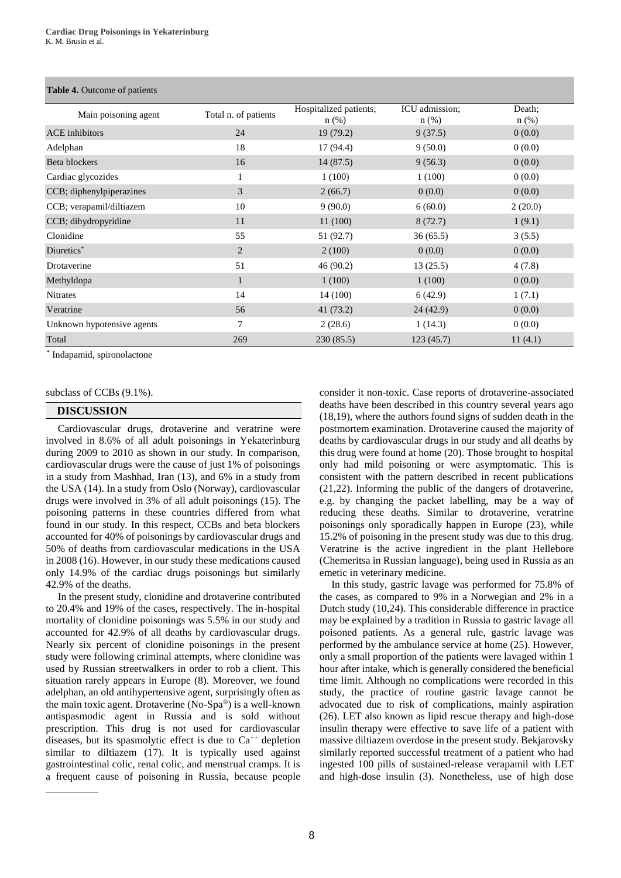#### **Table 4.** Outcome of patients

| Main poisoning agent       | Total n. of patients | Hospitalized patients; | ICU admission; | Death:  |
|----------------------------|----------------------|------------------------|----------------|---------|
|                            |                      | $n$ (%)                | $n$ (%)        | $n$ (%) |
| <b>ACE</b> inhibitors      | 24                   | 19(79.2)               | 9(37.5)        | 0(0.0)  |
| Adelphan                   | 18                   | 17 (94.4)              | 9(50.0)        | 0(0.0)  |
| Beta blockers              | 16                   | 14(87.5)               | 9(56.3)        | 0(0.0)  |
| Cardiac glycozides         |                      | 1(100)                 | 1(100)         | 0(0.0)  |
| CCB; diphenylpiperazines   | 3                    | 2(66.7)                | 0(0.0)         | 0(0.0)  |
| CCB; verapamil/diltiazem   | 10                   | 9(90.0)                | 6(60.0)        | 2(20.0) |
| CCB; dihydropyridine       | 11                   | 11(100)                | 8(72.7)        | 1(9.1)  |
| Clonidine                  | 55                   | 51 (92.7)              | 36(65.5)       | 3(5.5)  |
| Diuretics*                 | 2                    | 2(100)                 | 0(0.0)         | 0(0.0)  |
| Drotaverine                | 51                   | 46 (90.2)              | 13(25.5)       | 4(7.8)  |
| Methyldopa                 | $\mathbf{1}$         | 1(100)                 | 1(100)         | 0(0.0)  |
| <b>Nitrates</b>            | 14                   | 14 (100)               | 6(42.9)        | 1(7.1)  |
| Veratrine                  | 56                   | 41(73.2)               | 24(42.9)       | 0(0.0)  |
| Unknown hypotensive agents | 7                    | 2(28.6)                | 1(14.3)        | 0(0.0)  |
| Total                      | 269                  | 230(85.5)              | 123(45.7)      | 11(4.1) |

\* Indapamid, spironolactone

subclass of CCBs (9.1%).

# **DISCUSSION**

Cardiovascular drugs, drotaverine and veratrine were involved in 8.6% of all adult poisonings in Yekaterinburg during 2009 to 2010 as shown in our study. In comparison, cardiovascular drugs were the cause of just 1% of poisonings in a study from Mashhad, Iran (13), and 6% in a study from the USA (14). In a study from Oslo (Norway), cardiovascular drugs were involved in 3% of all adult poisonings (15). The poisoning patterns in these countries differed from what found in our study. In this respect, CCBs and beta blockers accounted for 40% of poisonings by cardiovascular drugs and 50% of deaths from cardiovascular medications in the USA in 2008 (16). However, in our study these medications caused only 14.9% of the cardiac drugs poisonings but similarly 42.9% of the deaths.

In the present study, clonidine and drotaverine contributed to 20.4% and 19% of the cases, respectively. The in-hospital mortality of clonidine poisonings was 5.5% in our study and accounted for 42.9% of all deaths by cardiovascular drugs. Nearly six percent of clonidine poisonings in the present study were following criminal attempts, where clonidine was used by Russian streetwalkers in order to rob a client. This situation rarely appears in Europe (8). Moreover, we found adelphan, an old antihypertensive agent, surprisingly often as the main toxic agent. Drotaverine (No-Spa®) is a well-known antispasmodic agent in Russia and is sold without prescription. This drug is not used for cardiovascular diseases, but its spasmolytic effect is due to  $Ca^{++}$  depletion similar to diltiazem (17). It is typically used against gastrointestinal colic, renal colic, and menstrual cramps. It is a frequent cause of poisoning in Russia, because people consider it non-toxic. Case reports of drotaverine-associated deaths have been described in this country several years ago (18,19), where the authors found signs of sudden death in the postmortem examination. Drotaverine caused the majority of deaths by cardiovascular drugs in our study and all deaths by this drug were found at home (20). Those brought to hospital only had mild poisoning or were asymptomatic. This is consistent with the pattern described in recent publications (21,22). Informing the public of the dangers of drotaverine, e.g. by changing the packet labelling, may be a way of reducing these deaths. Similar to drotaverine, veratrine poisonings only sporadically happen in Europe (23), while 15.2% of poisoning in the present study was due to this drug. Veratrine is the active ingredient in the plant Hellebore (Chemeritsa in Russian language), being used in Russia as an emetic in veterinary medicine.

In this study, gastric lavage was performed for 75.8% of the cases, as compared to 9% in a Norwegian and 2% in a Dutch study (10,24). This considerable difference in practice may be explained by a tradition in Russia to gastric lavage all poisoned patients. As a general rule, gastric lavage was performed by the ambulance service at home (25). However, only a small proportion of the patients were lavaged within 1 hour after intake, which is generally considered the beneficial time limit. Although no complications were recorded in this study, the practice of routine gastric lavage cannot be advocated due to risk of complications, mainly aspiration (26). LET also known as lipid rescue therapy and high-dose insulin therapy were effective to save life of a patient with massive diltiazem overdose in the present study. Bekjarovsky similarly reported successful treatment of a patient who had ingested 100 pills of sustained-release verapamil with LET and high-dose insulin (3). Nonetheless, use of high dose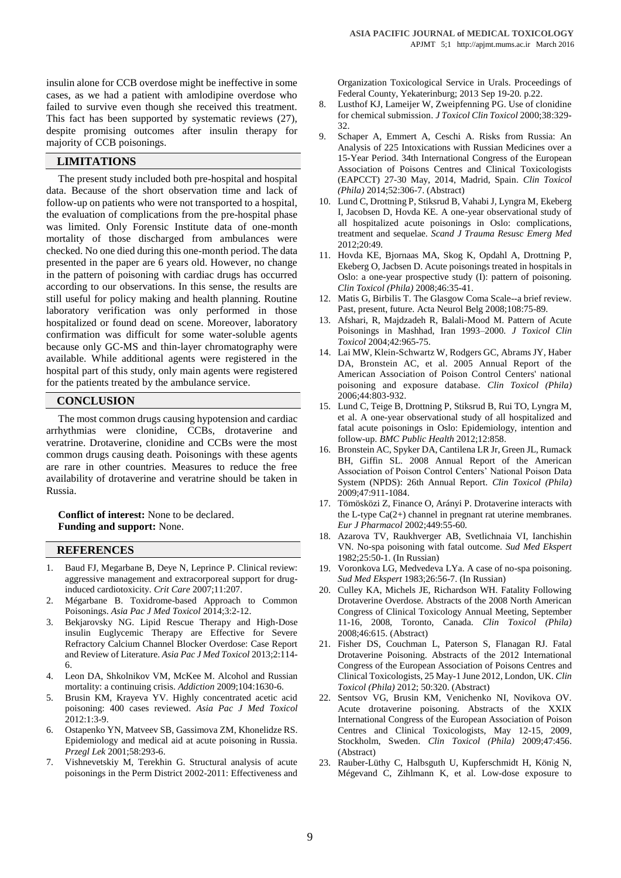insulin alone for CCB overdose might be ineffective in some cases, as we had a patient with amlodipine overdose who failed to survive even though she received this treatment. This fact has been supported by systematic reviews (27), despite promising outcomes after insulin therapy for majority of CCB poisonings.

# **LIMITATIONS**

The present study included both pre-hospital and hospital data. Because of the short observation time and lack of follow-up on patients who were not transported to a hospital, the evaluation of complications from the pre-hospital phase was limited. Only Forensic Institute data of one-month mortality of those discharged from ambulances were checked. No one died during this one-month period. The data presented in the paper are 6 years old. However, no change in the pattern of poisoning with cardiac drugs has occurred according to our observations. In this sense, the results are still useful for policy making and health planning. Routine laboratory verification was only performed in those hospitalized or found dead on scene. Moreover, laboratory confirmation was difficult for some water-soluble agents because only GC-MS and thin-layer chromatography were available. While additional agents were registered in the hospital part of this study, only main agents were registered for the patients treated by the ambulance service.

## **CONCLUSION**

The most common drugs causing hypotension and cardiac arrhythmias were clonidine, CCBs, drotaverine and veratrine. Drotaverine, clonidine and CCBs were the most common drugs causing death. Poisonings with these agents are rare in other countries. Measures to reduce the free availability of drotaverine and veratrine should be taken in Russia.

**Conflict of interest:** None to be declared. **Funding and support:** None.

## **REFERENCES**

- 1. Baud FJ, Megarbane B, Deye N, Leprince P. Clinical review: aggressive management and extracorporeal support for druginduced cardiotoxicity. *Crit Care* 2007;11:207.
- 2. Mégarbane B. Toxidrome-based Approach to Common Poisonings. *Asia Pac J Med Toxicol* 2014;3:2-12.
- 3. Bekjarovsky NG. Lipid Rescue Therapy and High-Dose insulin Euglycemic Therapy are Effective for Severe Refractory Calcium Channel Blocker Overdose: Case Report and Review of Literature. *Asia Pac J Med Toxicol* 2013;2:114- 6.
- 4. [Leon DA,](http://www.ncbi.nlm.nih.gov/pubmed/?term=Leon%20DA%5BAuthor%5D&cauthor=true&cauthor_uid=19681805) [Shkolnikov VM,](http://www.ncbi.nlm.nih.gov/pubmed/?term=Shkolnikov%20VM%5BAuthor%5D&cauthor=true&cauthor_uid=19681805) [McKee M.](http://www.ncbi.nlm.nih.gov/pubmed/?term=McKee%20M%5BAuthor%5D&cauthor=true&cauthor_uid=19681805) Alcohol and Russian mortality: a continuing crisis. *[Addiction](http://www.ncbi.nlm.nih.gov/pubmed/19681805)* 2009;104:1630-6.
- 5. Brusin KM, Krayeva YV. Highly concentrated acetic acid poisoning: 400 cases reviewed. *Asia Pac J Med Toxicol* 2012:1:3-9.
- 6. [Ostapenko YN,](http://www.ncbi.nlm.nih.gov/pubmed?term=Ostapenko%20YN%5BAuthor%5D&cauthor=true&cauthor_uid=11450356) [Matveev SB,](http://www.ncbi.nlm.nih.gov/pubmed?term=Matveev%20SB%5BAuthor%5D&cauthor=true&cauthor_uid=11450356) [Gassimova ZM,](http://www.ncbi.nlm.nih.gov/pubmed?term=Gassimova%20ZM%5BAuthor%5D&cauthor=true&cauthor_uid=11450356) [Khonelidze RS.](http://www.ncbi.nlm.nih.gov/pubmed?term=Khonelidze%20RS%5BAuthor%5D&cauthor=true&cauthor_uid=11450356) Epidemiology and medical aid at acute poisoning in Russia. *[Przegl Lek](http://www.ncbi.nlm.nih.gov/pubmed/11450356)* 2001;58:293-6.
- 7. Vishnevetskiy M, Terekhin G. Structural analysis of acute poisonings in the Perm District 2002-2011: Effectiveness and

Organization Toxicological Service in Urals. Proceedings of Federal County, Yekaterinburg; 2013 Sep 19-20. p.22.

- 8. Lusthof KJ, Lameijer W, Zweipfenning PG. Use of clonidine for chemical submission. *J Toxicol Clin Toxicol* 2000;38:329- 32.
- 9. Schaper A, Emmert A, Ceschi A. Risks from Russia: An Analysis of 225 Intoxications with Russian Medicines over a 15-Year Period. 34th International Congress of the European Association of Poisons Centres and Clinical Toxicologists (EAPCCT) 27-30 May, 2014, Madrid, Spain. *Clin Toxicol (Phila)* 2014;52:306-7. (Abstract)
- 10. Lund C, Drottning P, Stiksrud B, Vahabi J, Lyngra M, Ekeberg I, Jacobsen D, Hovda KE. A one-year observational study of all hospitalized acute poisonings in Oslo: complications, treatment and sequelae. *Scand J Trauma Resusc Emerg Med* 2012;20:49.
- 11. Hovda KE, Bjornaas MA, Skog K, Opdahl A, Drottning P, Ekeberg O, Jacbsen D. Acute poisonings treated in hospitals in Oslo: a one-year prospective study (I): pattern of poisoning. *Clin Toxicol (Phila)* 2008;46:35-41.
- 12. Matis G, Birbilis T. The Glasgow Coma Scale--a brief review. Past, present, future. Acta Neurol Belg 2008;108:75-89.
- 13. Afshari, R, Majdzadeh R, Balali-Mood M. Pattern of Acute Poisonings in Mashhad, Iran 1993–2000. *[J Toxicol Clin](https://www.ncbi.nlm.nih.gov/pubmed/?term=Pattern+of+Acute+Poisonings+in+Mashhad%2C+Iran+1993%E2%80%932000.)  [Toxicol](https://www.ncbi.nlm.nih.gov/pubmed/?term=Pattern+of+Acute+Poisonings+in+Mashhad%2C+Iran+1993%E2%80%932000.)* 2004;42:965-75.
- 14. Lai MW, Klein-Schwartz W, Rodgers GC, Abrams JY, Haber DA, Bronstein AC, et al. 2005 Annual Report of the American Association of Poison Control Centers' national poisoning and exposure database. *Clin Toxicol (Phila)* 2006;44:803-932.
- 15. Lund C, Teige B, Drottning P, Stiksrud B, Rui TO, Lyngra M, et al. A one-year observational study of all hospitalized and fatal acute poisonings in Oslo: Epidemiology, intention and follow-up. *BMC Public Health* 2012;12:858.
- 16. Bronstein AC, Spyker DA, Cantilena LR Jr, Green JL, Rumack BH, Giffin SL. 2008 Annual Report of the American Association of Poison Control Centers' National Poison Data System (NPDS): 26th Annual Report. *Clin Toxicol (Phila)* 2009;47:911-1084.
- 17. [Tömösközi Z,](http://www.ncbi.nlm.nih.gov/pubmed?term=T%C3%B6m%C3%B6sk%C3%B6zi%20Z%5BAuthor%5D&cauthor=true&cauthor_uid=12163106) [Finance O,](http://www.ncbi.nlm.nih.gov/pubmed?term=Finance%20O%5BAuthor%5D&cauthor=true&cauthor_uid=12163106) [Arányi P.](http://www.ncbi.nlm.nih.gov/pubmed?term=Ar%C3%A1nyi%20P%5BAuthor%5D&cauthor=true&cauthor_uid=12163106) Drotaverine interacts with the L-type Ca(2+) channel in pregnant rat uterine membranes. *[Eur J Pharmacol](http://www.ncbi.nlm.nih.gov/pubmed/12163106)* 2002;449:55-60.
- 18. Azarova TV, Raukhverger AB, Svetlichnaia VI, Ianchishin VN. No-spa poisoning with fatal outcome. *Sud Med Ekspert* 1982;25:50-1. (In Russian)
- 19. Voronkova LG, Medvedeva LYa. A case of no-spa poisoning. *Sud Med Ekspert* 1983;26:56-7. (In Russian)
- 20. Culley KA, Michels JE, Richardson WH. Fatality Following Drotaverine Overdose. Abstracts of the 2008 North American Congress of Clinical Toxicology Annual Meeting, September 11-16, 2008, Toronto, Canada. *Clin Toxicol (Phila)* 2008;46:615. (Abstract)
- 21. Fisher DS, Couchman L, Paterson S, Flanagan RJ. Fatal Drotaverine Poisoning. Abstracts of the 2012 International Congress of the European Association of Poisons Centres and Clinical Toxicologists, 25 May-1 June 2012, London, UK. *Clin Toxicol (Phila)* 2012; 50:320. (Abstract)
- 22. Sentsov VG, Brusin KM, Venichenko NI, Novikova OV. Acute drotaverine poisoning. Abstracts of the XXIX International Congress of the European Association of Poison Centres and Clinical Toxicologists, May 12-15, 2009, Stockholm, Sweden. *Clin Toxicol (Phila)* 2009;47:456. (Abstract)
- 23. Rauber-Lüthy C, Halbsguth U, Kupferschmidt H, König N, Mégevand C, Zihlmann K, et al. Low-dose exposure to